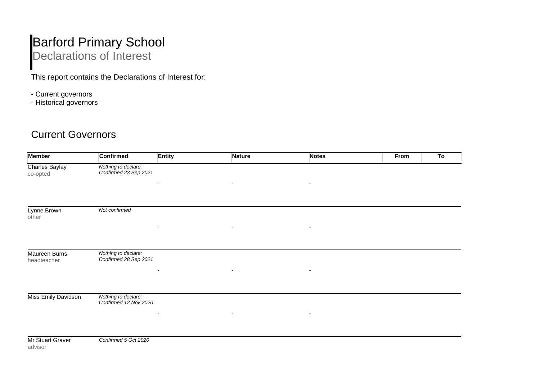## Barford Primary School Declarations of Interest

This report contains the Declarations of Interest for:

- Current governors
- Historical governors

## Current Governors

| <b>Member</b>                | <b>Confirmed</b>                             | <b>Entity</b> | Nature                   | <b>Notes</b>             | From | To |
|------------------------------|----------------------------------------------|---------------|--------------------------|--------------------------|------|----|
| Charles Baylay<br>co-opted   | Nothing to declare:<br>Confirmed 23 Sep 2021 |               |                          |                          |      |    |
|                              |                                              |               | $\overline{\phantom{a}}$ | $\blacksquare$           |      |    |
| Lynne Brown<br>other         | Not confirmed                                |               |                          |                          |      |    |
|                              |                                              |               | $\overline{\phantom{a}}$ | $\overline{\phantom{a}}$ |      |    |
| Maureen Burns<br>headteacher | Nothing to declare:<br>Confirmed 28 Sep 2021 |               | $\overline{\phantom{a}}$ | $\overline{\phantom{a}}$ |      |    |
|                              |                                              |               |                          |                          |      |    |
| Miss Emily Davidson          | Nothing to declare:<br>Confirmed 12 Nov 2020 |               |                          |                          |      |    |
|                              |                                              |               | $\overline{\phantom{a}}$ |                          |      |    |
| Mr Stuart Graver<br>advisor  | Confirmed 5 Oct 2020                         |               |                          |                          |      |    |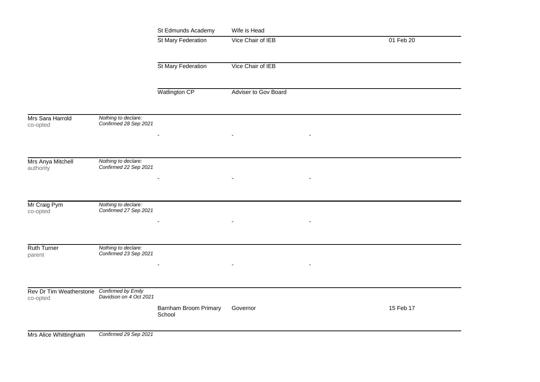|                                                        |                                              | St Edmunds Academy              | Wife is Head         |  |           |
|--------------------------------------------------------|----------------------------------------------|---------------------------------|----------------------|--|-----------|
|                                                        |                                              | St Mary Federation              | Vice Chair of IEB    |  | 01 Feb 20 |
|                                                        |                                              |                                 |                      |  |           |
|                                                        |                                              | St Mary Federation              | Vice Chair of IEB    |  |           |
|                                                        |                                              |                                 |                      |  |           |
|                                                        |                                              | Watlington CP                   | Adviser to Gov Board |  |           |
| Mrs Sara Harrold                                       | Nothing to declare:<br>Confirmed 28 Sep 2021 |                                 |                      |  |           |
| co-opted                                               |                                              |                                 |                      |  |           |
|                                                        |                                              |                                 |                      |  |           |
| Mrs Anya Mitchell<br>authority                         | Nothing to declare:<br>Confirmed 22 Sep 2021 |                                 |                      |  |           |
|                                                        |                                              |                                 |                      |  |           |
|                                                        |                                              |                                 |                      |  |           |
| Mr Craig Pym<br>co-opted                               | Nothing to declare:<br>Confirmed 27 Sep 2021 |                                 |                      |  |           |
|                                                        |                                              |                                 |                      |  |           |
|                                                        |                                              |                                 |                      |  |           |
| Ruth Turner<br>parent                                  | Nothing to declare:<br>Confirmed 23 Sep 2021 |                                 |                      |  |           |
|                                                        |                                              |                                 |                      |  |           |
|                                                        |                                              |                                 |                      |  |           |
| Rev Dr Tim Weatherstone Confirmed by Emily<br>co-opted | Davidson on 4 Oct 2021                       |                                 |                      |  |           |
|                                                        |                                              | Barnham Broom Primary<br>School | Governor             |  | 15 Feb 17 |
| Mrs Alice Whittingham                                  | Confirmed 29 Sep 2021                        |                                 |                      |  |           |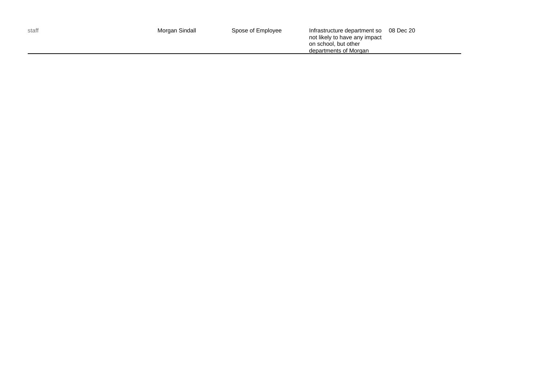| not likely to have any impact<br>on school, but other<br>departments of Morgan |  |  |
|--------------------------------------------------------------------------------|--|--|
|--------------------------------------------------------------------------------|--|--|